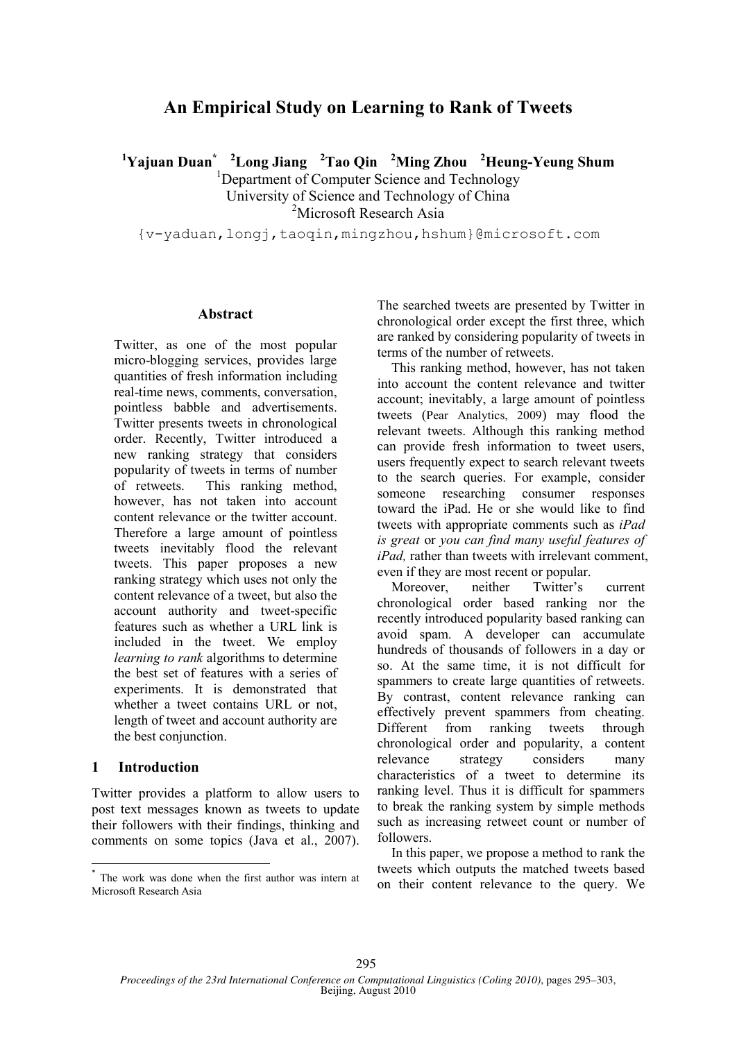# **An Empirical Study on Learning to Rank of Tweets**

**<sup>1</sup>Yajuan Duan\* <sup>2</sup>Long Jiang <sup>2</sup>Tao Qin <sup>2</sup>Ming Zhou <sup>2</sup>Heung-Yeung Shum**

<sup>1</sup>Department of Computer Science and Technology University of Science and Technology of China <sup>2</sup>Microsoft Research Asia

{v-yaduan,longj,taoqin,mingzhou,hshum}@microsoft.com

#### **Abstract**

Twitter, as one of the most popular micro-blogging services, provides large quantities of fresh information including real-time news, comments, conversation, pointless babble and advertisements. Twitter presents tweets in chronological order. Recently, Twitter introduced a new ranking strategy that considers popularity of tweets in terms of number of retweets. This ranking method, however, has not taken into account content relevance or the twitter account. Therefore a large amount of pointless tweets inevitably flood the relevant tweets. This paper proposes a new ranking strategy which uses not only the content relevance of a tweet, but also the account authority and tweet-specific features such as whether a URL link is included in the tweet. We employ *learning to rank* algorithms to determine the best set of features with a series of experiments. It is demonstrated that whether a tweet contains URL or not, length of tweet and account authority are the best conjunction. 1

### **1 Introduction**

Twitter provides a platform to allow users to post text messages known as tweets to update their followers with their findings, thinking and comments on some topics (Java et al., 2007).

The searched tweets are presented by Twitter in chronological order except the first three, which are ranked by considering popularity of tweets in terms of the number of retweets.

This ranking method, however, has not taken into account the content relevance and twitter account; inevitably, a large amount of pointless tweets (Pear Analytics, 2009) may flood the relevant tweets. Although this ranking method can provide fresh information to tweet users, users frequently expect to search relevant tweets to the search queries. For example, consider someone researching consumer responses toward the iPad. He or she would like to find tweets with appropriate comments such as *iPad is great* or *you can find many useful features of iPad,* rather than tweets with irrelevant comment, even if they are most recent or popular.

Moreover, neither Twitter's current chronological order based ranking nor the recently introduced popularity based ranking can avoid spam. A developer can accumulate hundreds of thousands of followers in a day or so. At the same time, it is not difficult for spammers to create large quantities of retweets. By contrast, content relevance ranking can effectively prevent spammers from cheating. Different from ranking tweets through chronological order and popularity, a content relevance strategy considers many characteristics of a tweet to determine its ranking level. Thus it is difficult for spammers to break the ranking system by simple methods such as increasing retweet count or number of followers.

In this paper, we propose a method to rank the tweets which outputs the matched tweets based on their content relevance to the query. We

 \* The work was done when the first author was intern at Microsoft Research Asia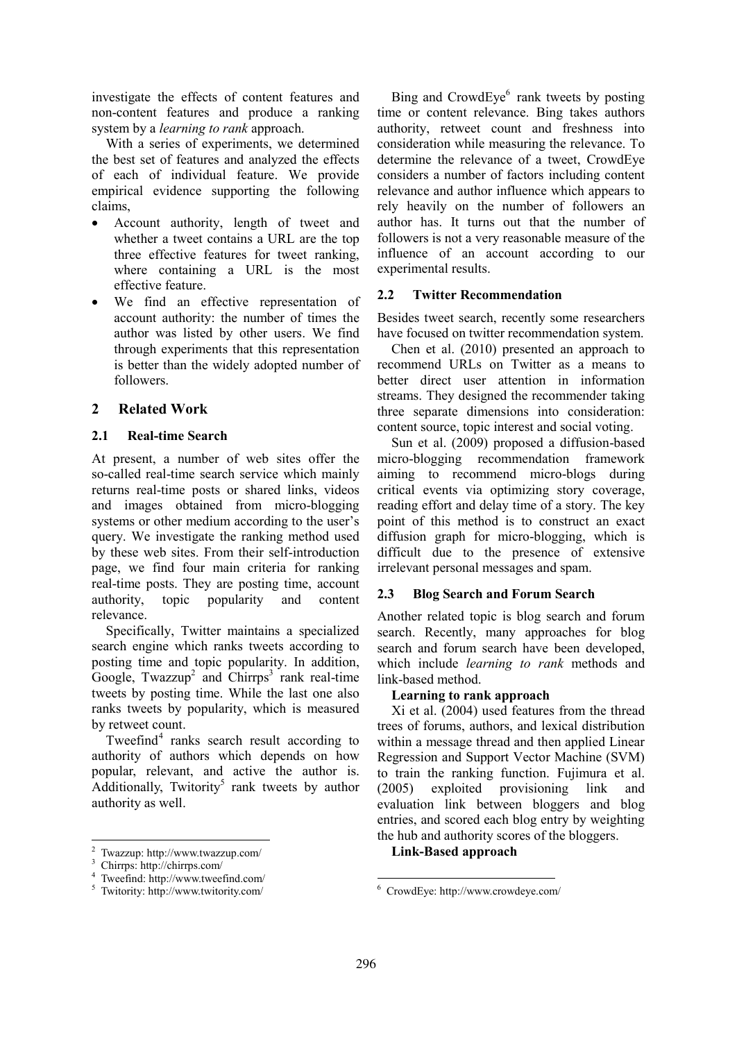investigate the effects of content features and non-content features and produce a ranking system by a *learning to rank* approach.

With a series of experiments, we determined the best set of features and analyzed the effects of each of individual feature. We provide empirical evidence supporting the following claims,

- Account authority, length of tweet and whether a tweet contains a URL are the top three effective features for tweet ranking, where containing a URL is the most effective feature.
- We find an effective representation of account authority: the number of times the author was listed by other users. We find through experiments that this representation is better than the widely adopted number of followers.

## **2 Related Work**

### **2.1 Real-time Search**

At present, a number of web sites offer the so-called real-time search service which mainly returns real-time posts or shared links, videos and images obtained from micro-blogging systems or other medium according to the user's query. We investigate the ranking method used by these web sites. From their self-introduction page, we find four main criteria for ranking real-time posts. They are posting time, account authority, topic popularity and content relevance.

Specifically, Twitter maintains a specialized search engine which ranks tweets according to posting time and topic popularity. In addition, Google, Twazzup<sup>2</sup> and Chirrps<sup>3</sup> rank real-time tweets by posting time. While the last one also ranks tweets by popularity, which is measured by retweet count.

Tweefind<sup>4</sup> ranks search result according to authority of authors which depends on how popular, relevant, and active the author is.  $\widehat{\text{Additionally, } }$  Twitority<sup>5</sup> rank tweets by author authority as well.

 $\ddot{ }$ 

Bing and CrowdEye<sup>6</sup> rank tweets by posting time or content relevance. Bing takes authors authority, retweet count and freshness into consideration while measuring the relevance. To determine the relevance of a tweet, CrowdEye considers a number of factors including content relevance and author influence which appears to rely heavily on the number of followers an author has. It turns out that the number of followers is not a very reasonable measure of the influence of an account according to our experimental results.

### **2.2 Twitter Recommendation**

Besides tweet search, recently some researchers have focused on twitter recommendation system.

Chen et al. (2010) presented an approach to recommend URLs on Twitter as a means to better direct user attention in information streams. They designed the recommender taking three separate dimensions into consideration: content source, topic interest and social voting.

Sun et al. (2009) proposed a diffusion-based micro-blogging recommendation framework aiming to recommend micro-blogs during critical events via optimizing story coverage, reading effort and delay time of a story. The key point of this method is to construct an exact diffusion graph for micro-blogging, which is difficult due to the presence of extensive irrelevant personal messages and spam.

### **2.3 Blog Search and Forum Search**

Another related topic is blog search and forum search. Recently, many approaches for blog search and forum search have been developed, which include *learning to rank* methods and link-based method.

### **Learning to rank approach**

Xi et al. (2004) used features from the thread trees of forums, authors, and lexical distribution within a message thread and then applied Linear Regression and Support Vector Machine (SVM) to train the ranking function. Fujimura et al. (2005) exploited provisioning link and evaluation link between bloggers and blog entries, and scored each blog entry by weighting the hub and authority scores of the bloggers.

**Link-Based approach**

<sup>2</sup> Twazzup: http://www.twazzup.com/

<sup>3</sup> Chirrps: http://chirrps.com/

<sup>4</sup> Tweefind: http://www.tweefind.com/

<sup>5</sup> Twitority: http://www.twitority.com/

<sup>1</sup> <sup>6</sup> CrowdEye: http://www.crowdeye.com/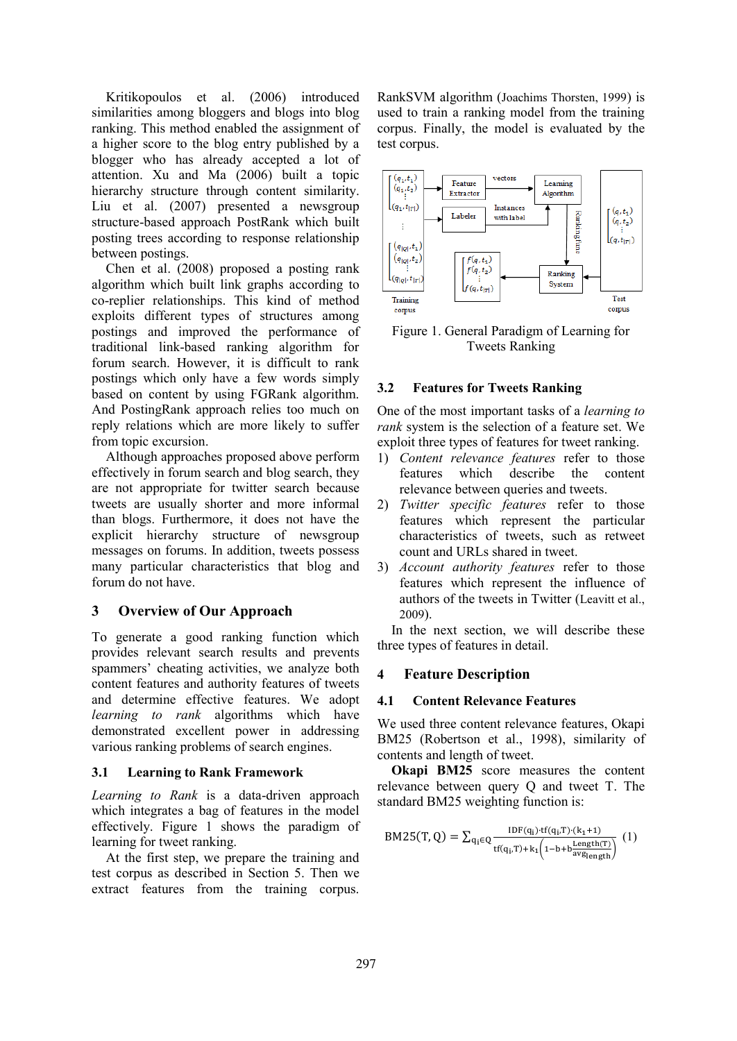Kritikopoulos et al. (2006) introduced similarities among bloggers and blogs into blog ranking. This method enabled the assignment of a higher score to the blog entry published by a blogger who has already accepted a lot of attention. Xu and Ma (2006) built a topic hierarchy structure through content similarity. Liu et al. (2007) presented a newsgroup structure-based approach PostRank which built posting trees according to response relationship between postings.

Chen et al. (2008) proposed a posting rank algorithm which built link graphs according to co-replier relationships. This kind of method exploits different types of structures among postings and improved the performance of traditional link-based ranking algorithm for forum search. However, it is difficult to rank postings which only have a few words simply based on content by using FGRank algorithm. And PostingRank approach relies too much on reply relations which are more likely to suffer from topic excursion.

Although approaches proposed above perform effectively in forum search and blog search, they are not appropriate for twitter search because tweets are usually shorter and more informal than blogs. Furthermore, it does not have the explicit hierarchy structure of newsgroup messages on forums. In addition, tweets possess many particular characteristics that blog and forum do not have.

### **3 Overview of Our Approach**

To generate a good ranking function which provides relevant search results and prevents spammers' cheating activities, we analyze both content features and authority features of tweets and determine effective features. We adopt *learning to rank* algorithms which have demonstrated excellent power in addressing various ranking problems of search engines.

### **3.1 Learning to Rank Framework**

*Learning to Rank* is a data-driven approach which integrates a bag of features in the model effectively. Figure 1 shows the paradigm of learning for tweet ranking.

At the first step, we prepare the training and test corpus as described in Section 5. Then we extract features from the training corpus. RankSVM algorithm (Joachims Thorsten, 1999) is used to train a ranking model from the training corpus. Finally, the model is evaluated by the test corpus.



Figure 1. General Paradigm of Learning for Tweets Ranking

### **3.2 Features for Tweets Ranking**

One of the most important tasks of a *learning to rank* system is the selection of a feature set. We exploit three types of features for tweet ranking.

- 1) *Content relevance features* refer to those features which describe the content relevance between queries and tweets.
- 2) *Twitter specific features* refer to those features which represent the particular characteristics of tweets, such as retweet count and URLs shared in tweet.
- 3) *Account authority features* refer to those features which represent the influence of authors of the tweets in Twitter (Leavitt et al., 2009).

In the next section, we will describe these three types of features in detail.

### **4 Feature Description**

### **4.1 Content Relevance Features**

We used three content relevance features, Okapi BM25 (Robertson et al., 1998), similarity of contents and length of tweet.

**Okapi BM25** score measures the content relevance between query Q and tweet T. The standard BM25 weighting function is:

$$
BM25(T, Q) = \sum_{q_i \in Q} \frac{IDF(q_i) \cdot tf(q_i, T) \cdot (k_1 + 1)}{tf(q_i, T) + k_1 \left(1 - b + b \frac{Length(T)}{avg_{length}}\right)} (1)
$$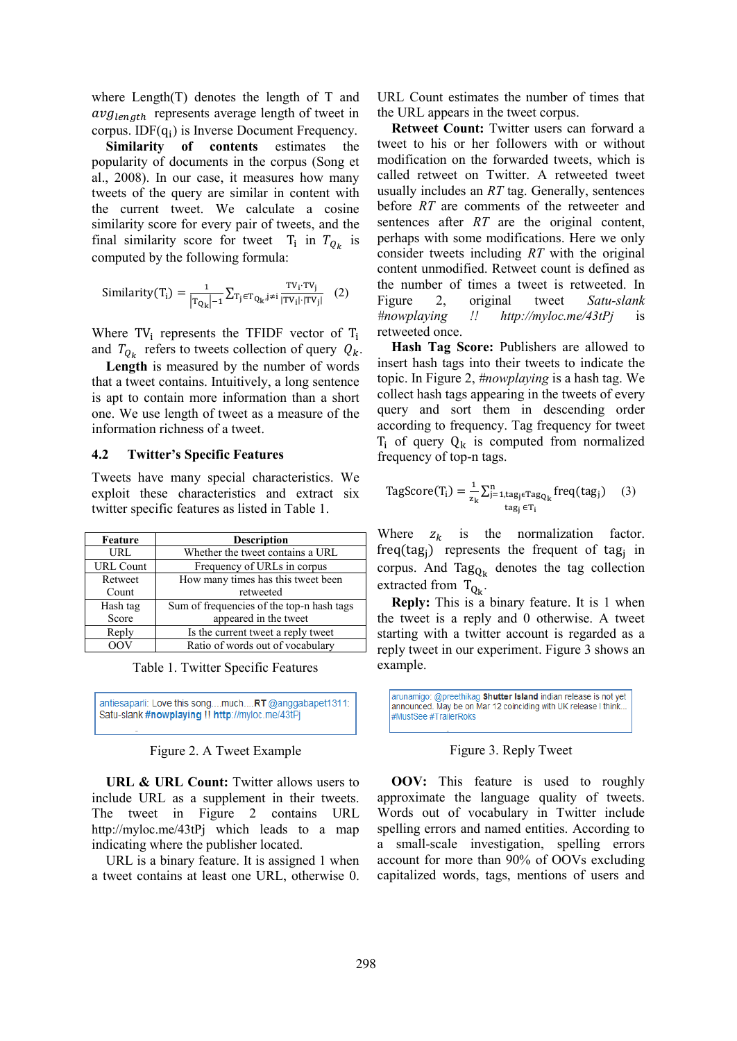where Length(T) denotes the length of T and  $avg_{length}$  represents average length of tweet in corpus. ID $F(q_i)$  is Inverse Document Frequency.

**Similarity of contents** estimates the popularity of documents in the corpus (Song et al., 2008). In our case, it measures how many tweets of the query are similar in content with the current tweet. We calculate a cosine similarity score for every pair of tweets, and the final similarity score for tweet  $T_i$  in  $T_{0_k}$  is computed by the following formula:

$$
\text{Similarity}(T_i) = \frac{1}{|T_{Q_k}|-1} \sum_{T_j \in T_{Q_k}, j \neq i} \frac{TV_i \cdot TV_j}{|TV_i| \cdot |TV_j|} \quad (2)
$$

Where  $TV_i$  represents the TFIDF vector of and  $T_{Q_k}$  refers to tweets collection of query  $Q_k$ .

**Length** is measured by the number of words that a tweet contains. Intuitively, a long sentence is apt to contain more information than a short one. We use length of tweet as a measure of the information richness of a tweet.

#### **4.2 Twitter's Specific Features**

Tweets have many special characteristics. We exploit these characteristics and extract six twitter specific features as listed in Table 1.

| Feature          | <b>Description</b>                        |  |  |
|------------------|-------------------------------------------|--|--|
| URL              | Whether the tweet contains a URL          |  |  |
| <b>URL Count</b> | Frequency of URLs in corpus               |  |  |
| Retweet          | How many times has this tweet been        |  |  |
| Count            | retweeted                                 |  |  |
| Hash tag         | Sum of frequencies of the top-n hash tags |  |  |
| Score            | appeared in the tweet                     |  |  |
| Reply            | Is the current tweet a reply tweet        |  |  |
|                  | Ratio of words out of vocabulary          |  |  |

Table 1. Twitter Specific Features

antiesaparli: Love this song....much....RT @anggabapet1311: Satu-slank #nowplaying !! http://myloc.me/43tPj

#### Figure 2. A Tweet Example

**URL & URL Count:** Twitter allows users to include URL as a supplement in their tweets. The tweet in Figure 2 contains URL http://myloc.me/43tPj which leads to a map indicating where the publisher located.

URL is a binary feature. It is assigned 1 when a tweet contains at least one URL, otherwise 0. URL Count estimates the number of times that the URL appears in the tweet corpus.

**Retweet Count:** Twitter users can forward a tweet to his or her followers with or without modification on the forwarded tweets, which is called retweet on Twitter. A retweeted tweet usually includes an *RT* tag. Generally, sentences before *RT* are comments of the retweeter and sentences after *RT* are the original content, perhaps with some modifications. Here we only consider tweets including *RT* with the original content unmodified. Retweet count is defined as the number of times a tweet is retweeted. In Figure 2, original tweet *Satu-slank #nowplaying !! http://myloc.me/43tPj* is retweeted once.

**Hash Tag Score:** Publishers are allowed to insert hash tags into their tweets to indicate the topic. In Figure 2, *#nowplaying* is a hash tag. We collect hash tags appearing in the tweets of every query and sort them in descending order according to frequency. Tag frequency for tweet  $T_i$  of query  $Q_k$  is computed from normalized frequency of top-n tags.

$$
TagScore(T_i) = \frac{1}{z_k} \sum_{j=1, tag_j \in Tag_{Q_k}}^{n} freq(tag_j) \quad (3)
$$
  

$$
tag_j \in T_i
$$

Where  $z_k$  is the normalization factor. freq(tag<sub>i</sub>) represents the frequent of tag<sub>i</sub> in corpus. And Tag<sub>O<sub>k</sub></sub> denotes the tag collection extracted from  $T_{O_{\nu}}$ .

**Reply:** This is a binary feature. It is 1 when the tweet is a reply and 0 otherwise. A tweet starting with a twitter account is regarded as a reply tweet in our experiment. Figure 3 shows an example.

arunamigo: @preethikag Shutter Island indian release is not vet announced. May be on Mar 12 coinciding with UK release I think #MustSee #TrailerRoks

#### Figure 3. Reply Tweet

**OOV:** This feature is used to roughly approximate the language quality of tweets. Words out of vocabulary in Twitter include spelling errors and named entities. According to a small-scale investigation, spelling errors account for more than 90% of OOVs excluding capitalized words, tags, mentions of users and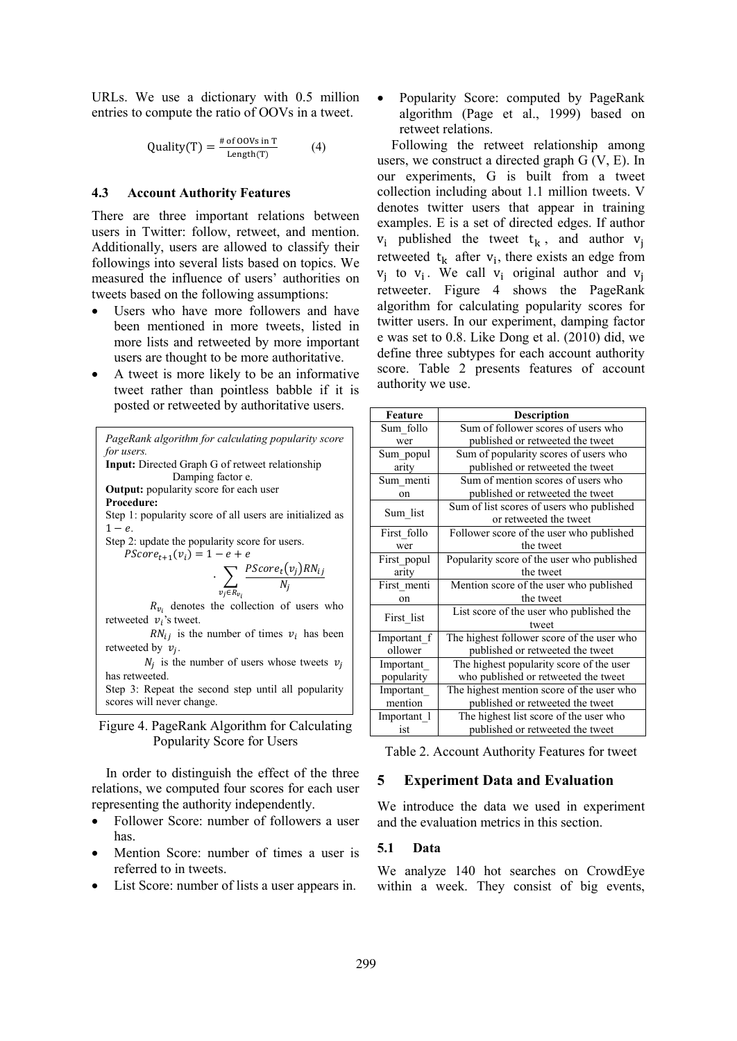URLs. We use a dictionary with 0.5 million entries to compute the ratio of OOVs in a tweet.

$$
Quality(T) = \frac{\text{# of OOVs in T}}{\text{Length}(T)} \tag{4}
$$

#### **4.3 Account Authority Features**

There are three important relations between users in Twitter: follow, retweet, and mention. Additionally, users are allowed to classify their followings into several lists based on topics. We measured the influence of users' authorities on tweets based on the following assumptions:

- Users who have more followers and have been mentioned in more tweets, listed in more lists and retweeted by more important users are thought to be more authoritative.
- A tweet is more likely to be an informative tweet rather than pointless babble if it is posted or retweeted by authoritative users.

| PageRank algorithm for calculating popularity score             |  |  |  |  |  |
|-----------------------------------------------------------------|--|--|--|--|--|
| for users.                                                      |  |  |  |  |  |
| Input: Directed Graph G of retweet relationship                 |  |  |  |  |  |
| Damping factor e.                                               |  |  |  |  |  |
| <b>Output:</b> popularity score for each user                   |  |  |  |  |  |
| <b>Procedure:</b>                                               |  |  |  |  |  |
| Step 1: popularity score of all users are initialized as        |  |  |  |  |  |
| $1-e$ .                                                         |  |  |  |  |  |
| Step 2: update the popularity score for users.                  |  |  |  |  |  |
| $PScore_{t+1}(v_i) = 1 - e + e$                                 |  |  |  |  |  |
|                                                                 |  |  |  |  |  |
| $\cdot \sum_{v_j \in R_{v_i}} \frac{PScore_t(v_j)RN_{ij}}{N_j}$ |  |  |  |  |  |
| $R_{v_i}$ denotes the collection of users who                   |  |  |  |  |  |
| retweeted $v_i$ 's tweet.                                       |  |  |  |  |  |
| $RN_{ij}$ is the number of times $v_i$ has been                 |  |  |  |  |  |
| retweeted by $v_i$ .                                            |  |  |  |  |  |
| $N_i$ is the number of users whose tweets $v_i$                 |  |  |  |  |  |
| has retweeted.                                                  |  |  |  |  |  |
| Step 3: Repeat the second step until all popularity             |  |  |  |  |  |
| scores will never change.                                       |  |  |  |  |  |

Figure 4. PageRank Algorithm for Calculating Popularity Score for Users

In order to distinguish the effect of the three relations, we computed four scores for each user representing the authority independently.

- Follower Score: number of followers a user has.
- Mention Score: number of times a user is referred to in tweets.
- List Score: number of lists a user appears in.

• Popularity Score: computed by PageRank algorithm (Page et al., 1999) based on retweet relations.

Following the retweet relationship among users, we construct a directed graph G (V, E). In our experiments, G is built from a tweet collection including about 1.1 million tweets. V denotes twitter users that appear in training examples. E is a set of directed edges. If author  $v_i$  published the tweet  $t_k$ , and author  $v_i$ retweeted  $t_k$  after  $v_i$ , there exists an edge from  $v_i$  to  $v_i$ . We call  $v_i$  original author and retweeter. Figure 4 shows the PageRank algorithm for calculating popularity scores for twitter users. In our experiment, damping factor e was set to 0.8. Like Dong et al. (2010) did, we define three subtypes for each account authority score. Table 2 presents features of account authority we use.

| Feature       | Description                                |  |  |  |
|---------------|--------------------------------------------|--|--|--|
| Sum follo     | Sum of follower scores of users who        |  |  |  |
| wer           | published or retweeted the tweet           |  |  |  |
| Sum popul     | Sum of popularity scores of users who      |  |  |  |
| arity         | published or retweeted the tweet           |  |  |  |
| Sum menti     | Sum of mention scores of users who         |  |  |  |
| on            | published or retweeted the tweet           |  |  |  |
| Sum list      | Sum of list scores of users who published  |  |  |  |
|               | or retweeted the tweet                     |  |  |  |
| First follo   | Follower score of the user who published   |  |  |  |
| wer           | the tweet                                  |  |  |  |
| First popul   | Popularity score of the user who published |  |  |  |
| arity         | the tweet                                  |  |  |  |
| First menti   | Mention score of the user who published    |  |  |  |
| <sub>on</sub> | the tweet                                  |  |  |  |
| First list    | List score of the user who published the   |  |  |  |
|               | tweet                                      |  |  |  |
| Important f   | The highest follower score of the user who |  |  |  |
| ollower       | published or retweeted the tweet           |  |  |  |
| Important     | The highest popularity score of the user   |  |  |  |
| popularity    | who published or retweeted the tweet       |  |  |  |
| Important     | The highest mention score of the user who  |  |  |  |
| mention       | published or retweeted the tweet           |  |  |  |
| Important 1   | The highest list score of the user who     |  |  |  |
| ist           | published or retweeted the tweet           |  |  |  |

Table 2. Account Authority Features for tweet

### **5 Experiment Data and Evaluation**

We introduce the data we used in experiment and the evaluation metrics in this section.

#### **5.1 Data**

We analyze 140 hot searches on CrowdEye within a week. They consist of big events,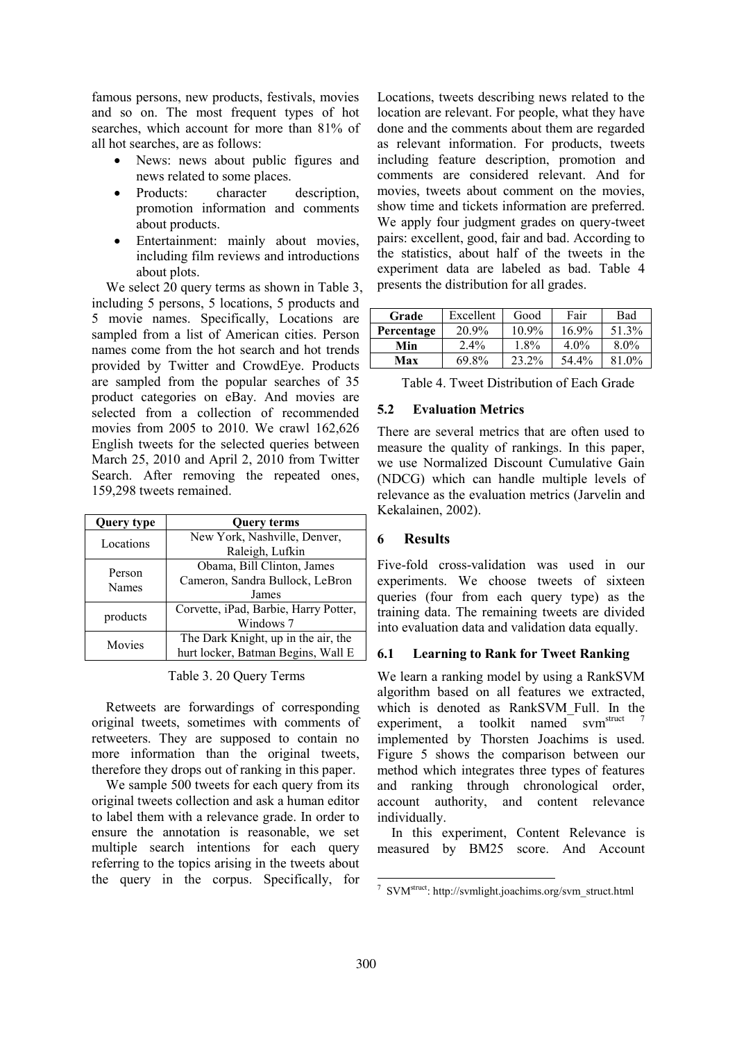famous persons, new products, festivals, movies and so on. The most frequent types of hot searches, which account for more than 81% of all hot searches, are as follows:

- News: news about public figures and news related to some places.
- Products: character description, promotion information and comments about products.
- Entertainment: mainly about movies, including film reviews and introductions about plots.

We select 20 query terms as shown in Table 3, including 5 persons, 5 locations, 5 products and 5 movie names. Specifically, Locations are sampled from a list of American cities. Person names come from the hot search and hot trends provided by Twitter and CrowdEye. Products are sampled from the popular searches of 35 product categories on eBay. And movies are selected from a collection of recommended movies from 2005 to 2010. We crawl 162,626 English tweets for the selected queries between March 25, 2010 and April 2, 2010 from Twitter Search. After removing the repeated ones, 159,298 tweets remained.

| <b>Query type</b> | <b>Query terms</b>                    |  |  |
|-------------------|---------------------------------------|--|--|
| Locations         | New York, Nashville, Denver,          |  |  |
|                   | Raleigh, Lufkin                       |  |  |
| Person<br>Names   | Obama, Bill Clinton, James            |  |  |
|                   | Cameron, Sandra Bullock, LeBron       |  |  |
|                   | James                                 |  |  |
| products          | Corvette, iPad, Barbie, Harry Potter, |  |  |
|                   | Windows 7                             |  |  |
| Movies            | The Dark Knight, up in the air, the   |  |  |
|                   | hurt locker, Batman Begins, Wall E    |  |  |

Table 3. 20 Query Terms

Retweets are forwardings of corresponding original tweets, sometimes with comments of retweeters. They are supposed to contain no more information than the original tweets, therefore they drops out of ranking in this paper.

We sample 500 tweets for each query from its original tweets collection and ask a human editor to label them with a relevance grade. In order to ensure the annotation is reasonable, we set multiple search intentions for each query referring to the topics arising in the tweets about the query in the corpus. Specifically, for

Locations, tweets describing news related to the location are relevant. For people, what they have done and the comments about them are regarded as relevant information. For products, tweets including feature description, promotion and comments are considered relevant. And for movies, tweets about comment on the movies, show time and tickets information are preferred. We apply four judgment grades on query-tweet pairs: excellent, good, fair and bad. According to the statistics, about half of the tweets in the experiment data are labeled as bad. Table 4 presents the distribution for all grades.

| Grade      | Excellent | Good  | Fair    | Bad     |
|------------|-----------|-------|---------|---------|
| Percentage | 20.9%     | 10.9% | 16.9%   | 51.3%   |
| Min        | $2.4\%$   | 1.8%  | $4.0\%$ | $8.0\%$ |
| Max        | 69.8%     | 23.2% | 54.4%   | 81.0%   |

Table 4. Tweet Distribution of Each Grade

## **5.2 Evaluation Metrics**

There are several metrics that are often used to measure the quality of rankings. In this paper, we use Normalized Discount Cumulative Gain (NDCG) which can handle multiple levels of relevance as the evaluation metrics (Jarvelin and Kekalainen, 2002).

## **6 Results**

Five-fold cross-validation was used in our experiments. We choose tweets of sixteen queries (four from each query type) as the training data. The remaining tweets are divided into evaluation data and validation data equally.

## **6.1 Learning to Rank for Tweet Ranking**

We learn a ranking model by using a RankSVM algorithm based on all features we extracted, which is denoted as RankSVM Full. In the experiment, a toolkit named svm<sup>struct</sup> implemented by Thorsten Joachims is used. Figure 5 shows the comparison between our method which integrates three types of features and ranking through chronological order, account authority, and content relevance individually.

In this experiment, Content Relevance is measured by BM25 score. And Account

<sup>1</sup> 7 SVM<sup>struct</sup>: http://svmlight.joachims.org/svm\_struct.html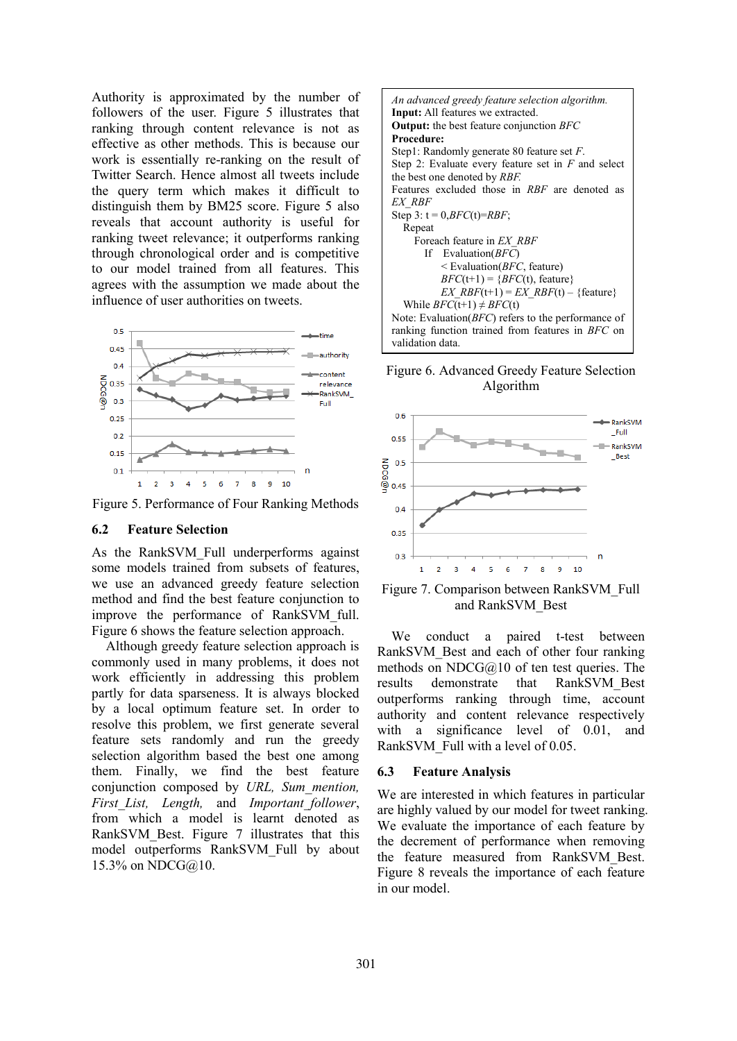Authority is approximated by the number of followers of the user. Figure 5 illustrates that ranking through content relevance is not as effective as other methods. This is because our work is essentially re-ranking on the result of Twitter Search. Hence almost all tweets include the query term which makes it difficult to distinguish them by BM25 score. Figure 5 also reveals that account authority is useful for ranking tweet relevance; it outperforms ranking through chronological order and is competitive to our model trained from all features. This agrees with the assumption we made about the influence of user authorities on tweets.



Figure 5. Performance of Four Ranking Methods

#### **6.2 Feature Selection**

As the RankSVM\_Full underperforms against some models trained from subsets of features, we use an advanced greedy feature selection method and find the best feature conjunction to improve the performance of RankSVM\_full. Figure 6 shows the feature selection approach.

Although greedy feature selection approach is commonly used in many problems, it does not work efficiently in addressing this problem partly for data sparseness. It is always blocked by a local optimum feature set. In order to resolve this problem, we first generate several feature sets randomly and run the greedy selection algorithm based the best one among them. Finally, we find the best feature conjunction composed by *URL, Sum\_mention, First\_List, Length,* and *Important\_follower*, from which a model is learnt denoted as RankSVM Best. Figure 7 illustrates that this model outperforms RankSVM\_Full by about 15.3% on NDCG@10.



Figure 6. Advanced Greedy Feature Selection Algorithm



Figure 7. Comparison between RankSVM\_Full and RankSVM\_Best

We conduct a paired t-test between RankSVM\_Best and each of other four ranking methods on NDCG $@10$  of ten test queries. The results demonstrate that RankSVM\_Best outperforms ranking through time, account authority and content relevance respectively with a significance level of 0.01, and RankSVM Full with a level of 0.05.

#### **6.3 Feature Analysis**

We are interested in which features in particular are highly valued by our model for tweet ranking. We evaluate the importance of each feature by the decrement of performance when removing the feature measured from RankSVM\_Best. Figure 8 reveals the importance of each feature in our model.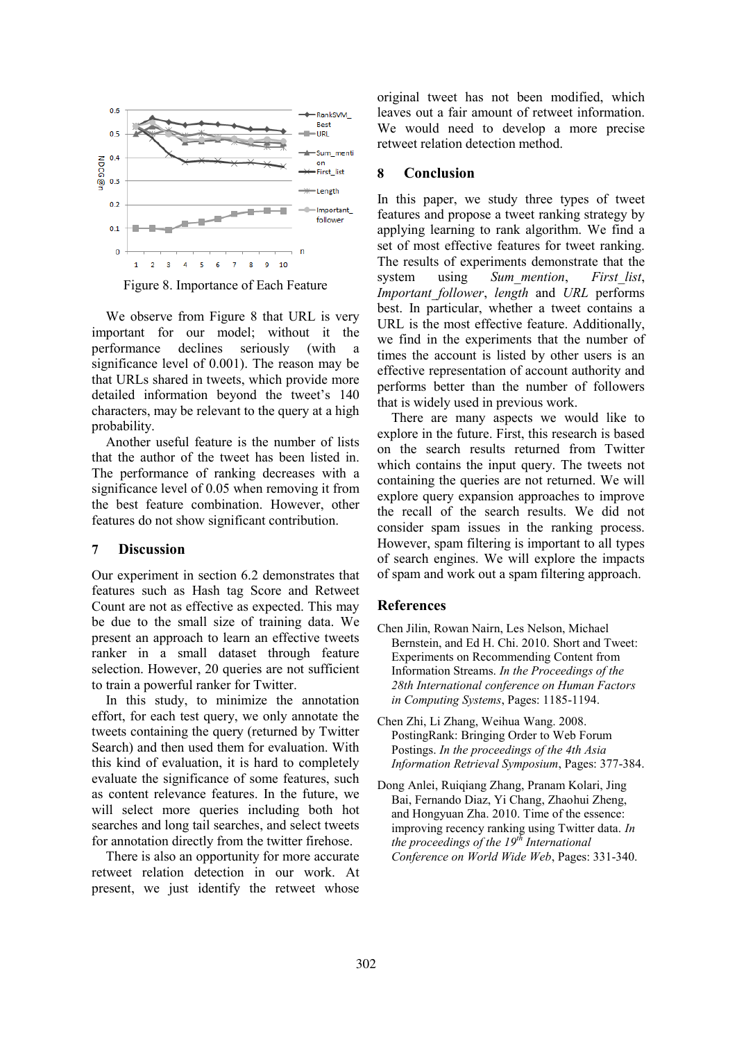

Figure 8. Importance of Each Feature

We observe from Figure 8 that URL is very important for our model; without it the performance declines seriously (with a significance level of 0.001). The reason may be that URLs shared in tweets, which provide more detailed information beyond the tweet's 140 characters, may be relevant to the query at a high probability.

Another useful feature is the number of lists that the author of the tweet has been listed in. The performance of ranking decreases with a significance level of 0.05 when removing it from the best feature combination. However, other features do not show significant contribution.

#### **7 Discussion**

Our experiment in section 6.2 demonstrates that features such as Hash tag Score and Retweet Count are not as effective as expected. This may be due to the small size of training data. We present an approach to learn an effective tweets ranker in a small dataset through feature selection. However, 20 queries are not sufficient to train a powerful ranker for Twitter.

In this study, to minimize the annotation effort, for each test query, we only annotate the tweets containing the query (returned by Twitter Search) and then used them for evaluation. With this kind of evaluation, it is hard to completely evaluate the significance of some features, such as content relevance features. In the future, we will select more queries including both hot searches and long tail searches, and select tweets for annotation directly from the twitter firehose.

There is also an opportunity for more accurate retweet relation detection in our work. At present, we just identify the retweet whose original tweet has not been modified, which leaves out a fair amount of retweet information. We would need to develop a more precise retweet relation detection method.

#### **8 Conclusion**

In this paper, we study three types of tweet features and propose a tweet ranking strategy by applying learning to rank algorithm. We find a set of most effective features for tweet ranking. The results of experiments demonstrate that the system using *Sum\_mention*, *First\_list*, *Important\_follower*, *length* and *URL* performs best. In particular, whether a tweet contains a URL is the most effective feature. Additionally, we find in the experiments that the number of times the account is listed by other users is an effective representation of account authority and performs better than the number of followers that is widely used in previous work.

There are many aspects we would like to explore in the future. First, this research is based on the search results returned from Twitter which contains the input query. The tweets not containing the queries are not returned. We will explore query expansion approaches to improve the recall of the search results. We did not consider spam issues in the ranking process. However, spam filtering is important to all types of search engines. We will explore the impacts of spam and work out a spam filtering approach.

#### **References**

- Chen Jilin, Rowan Nairn, Les Nelson, Michael Bernstein, and Ed H. Chi. 2010. Short and Tweet: Experiments on Recommending Content from Information Streams. *In the Proceedings of the 28th International conference on Human Factors in Computing Systems*, Pages: 1185-1194.
- Chen Zhi, Li Zhang, Weihua Wang. 2008. PostingRank: Bringing Order to Web Forum Postings. *In the proceedings of the 4th Asia Information Retrieval Symposium*, Pages: 377-384.
- Dong Anlei, Ruiqiang Zhang, Pranam Kolari, Jing Bai, Fernando Diaz, Yi Chang, Zhaohui Zheng, and Hongyuan Zha. 2010. Time of the essence: improving recency ranking using Twitter data. *In the proceedings of the 19th International Conference on World Wide Web*, Pages: 331-340.